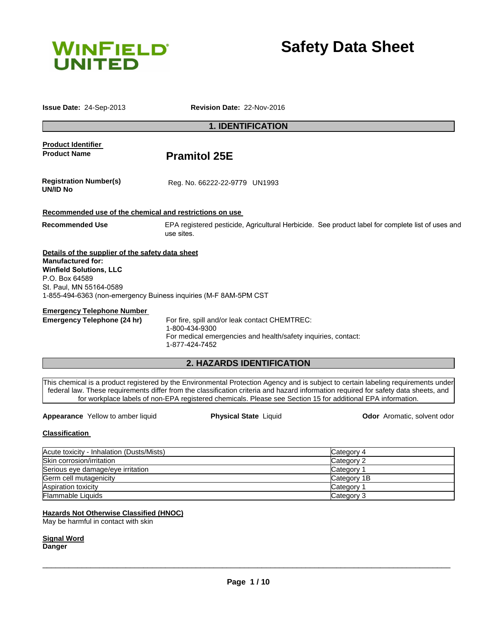

**Safety Data Sheet**

**Issue Date:** 24-Sep-2013 **Revision Date:** 22-Nov-2016

# **1. IDENTIFICATION**

# **Product Identifier**  Product Name **Pramitol 25E Registration Number(s) UN/ID No** Reg. No. 66222-22-9779 UN1993 **Recommended use of the chemical and restrictions on use Recommended Use** EPA registered pesticide, Agricultural Herbicide. See product label for complete list of uses and use sites. **Details of the supplier of the safety data sheet Manufactured for: Winfield Solutions, LLC** P.O. Box 64589 St. Paul, MN 55164-0589 1-855-494-6363 (non-emergency Buiness inquiries (M-F 8AM-5PM CST **Emergency Telephone Number Emergency Telephone (24 hr)** For fire, spill and/or leak contact CHEMTREC:

1-800-434-9300 For medical emergencies and health/safety inquiries, contact: 1-877-424-7452

# **2. HAZARDS IDENTIFICATION**

This chemical is a product registered by the Environmental Protection Agency and is subject to certain labeling requirements under federal law. These requirements differ from the classification criteria and hazard information required for safety data sheets, and for workplace labels of non-EPA registered chemicals. Please see Section 15 for additional EPA information.

## **Appearance** Yellow to amber liquid **Physical State** Liquid **Odor** Aromatic, solvent odor

## **Classification**

| Acute toxicity - Inhalation (Dusts/Mists) | Category 4  |
|-------------------------------------------|-------------|
| Skin corrosion/irritation                 | Category 2  |
| Serious eye damage/eye irritation         | Category 1  |
| Germ cell mutagenicity                    | Category 1B |
| <b>Aspiration toxicity</b>                | Category 1  |
| <b>Flammable Liquids</b>                  | Category 3  |

## **Hazards Not Otherwise Classified (HNOC)**

May be harmful in contact with skin

**Signal Word Danger**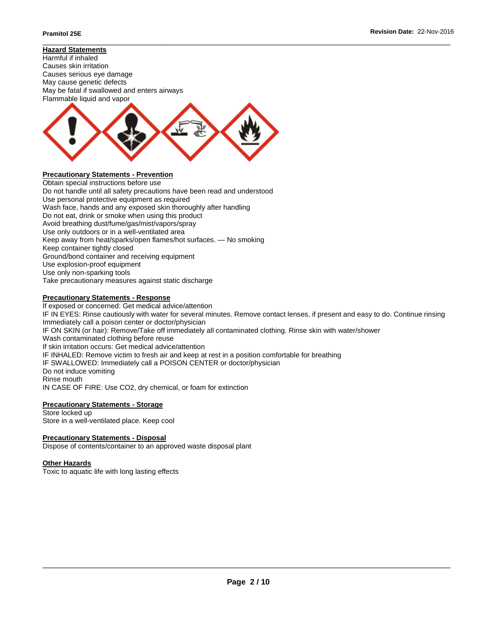### \_\_\_\_\_\_\_\_\_\_\_\_\_\_\_\_\_\_\_\_\_\_\_\_\_\_\_\_\_\_\_\_\_\_\_\_\_\_\_\_\_\_\_\_\_\_\_\_\_\_\_\_\_\_\_\_\_\_\_\_\_\_\_\_\_\_\_\_\_\_\_\_\_\_\_\_\_\_\_\_\_\_\_\_\_\_\_\_\_\_\_\_\_ **Hazard Statements**





Obtain special instructions before use Do not handle until all safety precautions have been read and understood Use personal protective equipment as required Wash face, hands and any exposed skin thoroughly after handling Do not eat, drink or smoke when using this product Avoid breathing dust/fume/gas/mist/vapors/spray Use only outdoors or in a well-ventilated area Keep away from heat/sparks/open flames/hot surfaces. — No smoking Keep container tightly closed Ground/bond container and receiving equipment Use explosion-proof equipment Use only non-sparking tools Take precautionary measures against static discharge

# **Precautionary Statements - Response**

If exposed or concerned: Get medical advice/attention IF IN EYES: Rinse cautiously with water for several minutes. Remove contact lenses, if present and easy to do. Continue rinsing Immediately call a poison center or doctor/physician IF ON SKIN (or hair): Remove/Take off immediately all contaminated clothing. Rinse skin with water/shower Wash contaminated clothing before reuse If skin irritation occurs: Get medical advice/attention IF INHALED: Remove victim to fresh air and keep at rest in a position comfortable for breathing IF SWALLOWED: Immediately call a POISON CENTER or doctor/physician Do not induce vomiting Rinse mouth IN CASE OF FIRE: Use CO2, dry chemical, or foam for extinction

## **Precautionary Statements - Storage**

Store locked up Store in a well-ventilated place. Keep cool

## **Precautionary Statements - Disposal**

Dispose of contents/container to an approved waste disposal plant

## **Other Hazards**

Toxic to aquatic life with long lasting effects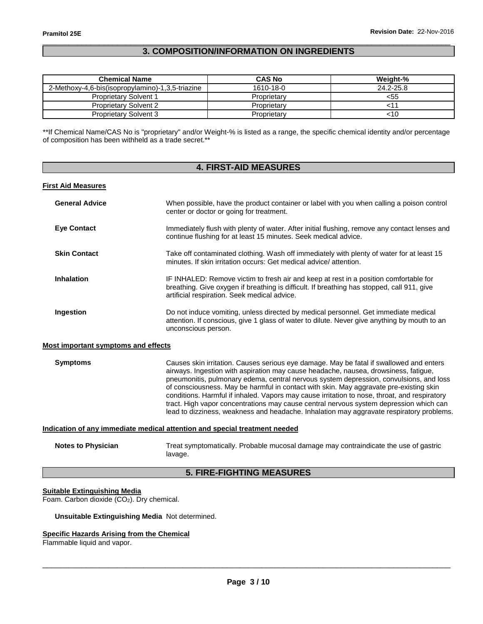# \_\_\_\_\_\_\_\_\_\_\_\_\_\_\_\_\_\_\_\_\_\_\_\_\_\_\_\_\_\_\_\_\_\_\_\_\_\_\_\_\_\_\_\_\_\_\_\_\_\_\_\_\_\_\_\_\_\_\_\_\_\_\_\_\_\_\_\_\_\_\_\_\_\_\_\_\_\_\_\_\_\_\_\_\_\_\_\_\_\_\_\_\_ **3. COMPOSITION/INFORMATION ON INGREDIENTS**

| <b>Chemical Name</b>                             | <b>CAS No</b> | Weight-%  |
|--------------------------------------------------|---------------|-----------|
| 2-Methoxy-4,6-bis(isopropylamino)-1,3,5-triazine | 1610-18-0     | 24.2-25.8 |
| <b>Proprietary Solvent 1</b>                     | Proprietary   | <55       |
| <b>Proprietary Solvent 2</b>                     | Proprietary   |           |
| <b>Proprietary Solvent 3</b>                     | Proprietary   | <10       |

\*\*If Chemical Name/CAS No is "proprietary" and/or Weight-% is listed as a range, the specific chemical identity and/or percentage of composition has been withheld as a trade secret.\*\*

| <b>4. FIRST-AID MEASURES</b>                                               |                                                                                                                                                                                                                                                                                                                                                                                                                                                                                                                                                                                                                                                          |  |  |
|----------------------------------------------------------------------------|----------------------------------------------------------------------------------------------------------------------------------------------------------------------------------------------------------------------------------------------------------------------------------------------------------------------------------------------------------------------------------------------------------------------------------------------------------------------------------------------------------------------------------------------------------------------------------------------------------------------------------------------------------|--|--|
| <b>First Aid Measures</b>                                                  |                                                                                                                                                                                                                                                                                                                                                                                                                                                                                                                                                                                                                                                          |  |  |
| <b>General Advice</b>                                                      | When possible, have the product container or label with you when calling a poison control<br>center or doctor or going for treatment.                                                                                                                                                                                                                                                                                                                                                                                                                                                                                                                    |  |  |
| <b>Eye Contact</b>                                                         | Immediately flush with plenty of water. After initial flushing, remove any contact lenses and<br>continue flushing for at least 15 minutes. Seek medical advice.                                                                                                                                                                                                                                                                                                                                                                                                                                                                                         |  |  |
| <b>Skin Contact</b>                                                        | Take off contaminated clothing. Wash off immediately with plenty of water for at least 15<br>minutes. If skin irritation occurs: Get medical advice/attention.                                                                                                                                                                                                                                                                                                                                                                                                                                                                                           |  |  |
| <b>Inhalation</b>                                                          | IF INHALED: Remove victim to fresh air and keep at rest in a position comfortable for<br>breathing. Give oxygen if breathing is difficult. If breathing has stopped, call 911, give<br>artificial respiration. Seek medical advice.                                                                                                                                                                                                                                                                                                                                                                                                                      |  |  |
| Ingestion                                                                  | Do not induce vomiting, unless directed by medical personnel. Get immediate medical<br>attention. If conscious, give 1 glass of water to dilute. Never give anything by mouth to an<br>unconscious person.                                                                                                                                                                                                                                                                                                                                                                                                                                               |  |  |
| <b>Most important symptoms and effects</b>                                 |                                                                                                                                                                                                                                                                                                                                                                                                                                                                                                                                                                                                                                                          |  |  |
| <b>Symptoms</b>                                                            | Causes skin irritation. Causes serious eye damage. May be fatal if swallowed and enters<br>airways. Ingestion with aspiration may cause headache, nausea, drowsiness, fatigue,<br>pneumonitis, pulmonary edema, central nervous system depression, convulsions, and loss<br>of consciousness. May be harmful in contact with skin. May aggravate pre-existing skin<br>conditions. Harmful if inhaled. Vapors may cause irritation to nose, throat, and respiratory<br>tract. High vapor concentrations may cause central nervous system depression which can<br>lead to dizziness, weakness and headache. Inhalation may aggravate respiratory problems. |  |  |
| Indication of any immediate medical attention and special treatment needed |                                                                                                                                                                                                                                                                                                                                                                                                                                                                                                                                                                                                                                                          |  |  |
| <b>Notes to Physician</b>                                                  | Treat symptomatically. Probable mucosal damage may contraindicate the use of gastric<br>lavage.                                                                                                                                                                                                                                                                                                                                                                                                                                                                                                                                                          |  |  |

# **5. FIRE-FIGHTING MEASURES**

# **Suitable Extinguishing Media**

Foam. Carbon dioxide  $(CO<sub>2</sub>)$ . Dry chemical.

### **Unsuitable Extinguishing Media** Not determined.

### **Specific Hazards Arising from the Chemical**

Flammable liquid and vapor.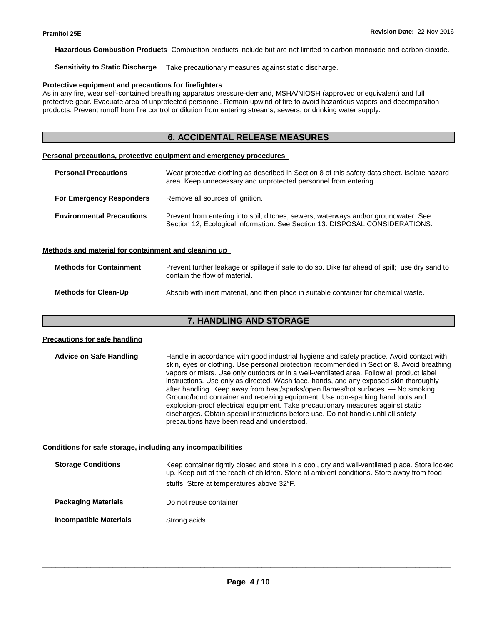\_\_\_\_\_\_\_\_\_\_\_\_\_\_\_\_\_\_\_\_\_\_\_\_\_\_\_\_\_\_\_\_\_\_\_\_\_\_\_\_\_\_\_\_\_\_\_\_\_\_\_\_\_\_\_\_\_\_\_\_\_\_\_\_\_\_\_\_\_\_\_\_\_\_\_\_\_\_\_\_\_\_\_\_\_\_\_\_\_\_\_\_\_ **Hazardous Combustion Products** Combustion products include but are not limited to carbon monoxide and carbon dioxide.

**Sensitivity to Static Discharge** Take precautionary measures against static discharge.

#### **Protective equipment and precautions for firefighters**

As in any fire, wear self-contained breathing apparatus pressure-demand, MSHA/NIOSH (approved or equivalent) and full protective gear. Evacuate area of unprotected personnel. Remain upwind of fire to avoid hazardous vapors and decomposition products. Prevent runoff from fire control or dilution from entering streams, sewers, or drinking water supply.

# **6. ACCIDENTAL RELEASE MEASURES**

#### **Personal precautions, protective equipment and emergency procedures**

| <b>Personal Precautions</b>      | Wear protective clothing as described in Section 8 of this safety data sheet. Isolate hazard<br>area. Keep unnecessary and unprotected personnel from entering.     |  |
|----------------------------------|---------------------------------------------------------------------------------------------------------------------------------------------------------------------|--|
| <b>For Emergency Responders</b>  | Remove all sources of ignition.                                                                                                                                     |  |
| <b>Environmental Precautions</b> | Prevent from entering into soil, ditches, sewers, waterways and/or groundwater. See<br>Section 12, Ecological Information. See Section 13: DISPOSAL CONSIDERATIONS. |  |

#### **Methods and material for containment and cleaning up**

| <b>Methods for Containment</b> | Prevent further leakage or spillage if safe to do so. Dike far ahead of spill; use dry sand to<br>contain the flow of material. |
|--------------------------------|---------------------------------------------------------------------------------------------------------------------------------|
| <b>Methods for Clean-Up</b>    | Absorb with inert material, and then place in suitable container for chemical waste.                                            |

# **7. HANDLING AND STORAGE**

# **Precautions for safe handling Advice on Safe Handling** Handle in accordance with good industrial hygiene and safety practice. Avoid contact with skin, eyes or clothing. Use personal protection recommended in Section 8. Avoid breathing vapors or mists. Use only outdoors or in a well-ventilated area. Follow all product label instructions. Use only as directed. Wash face, hands, and any exposed skin thoroughly after handling. Keep away from heat/sparks/open flames/hot surfaces. — No smoking. Ground/bond container and receiving equipment. Use non-sparking hand tools and explosion-proof electrical equipment. Take precautionary measures against static discharges. Obtain special instructions before use. Do not handle until all safety precautions have been read and understood. **Conditions for safe storage, including any incompatibilities Storage Conditions** Keep container tightly closed and store in a cool, dry and well-ventilated place. Store locked up. Keep out of the reach of children. Store at ambient conditions. Store away from food stuffs. Store at temperatures above 32°F. **Packaging Materials Do not reuse container. Incompatible Materials Strong acids.**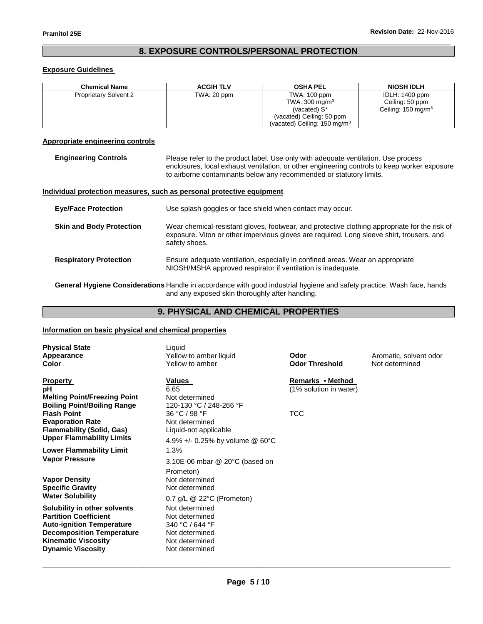# \_\_\_\_\_\_\_\_\_\_\_\_\_\_\_\_\_\_\_\_\_\_\_\_\_\_\_\_\_\_\_\_\_\_\_\_\_\_\_\_\_\_\_\_\_\_\_\_\_\_\_\_\_\_\_\_\_\_\_\_\_\_\_\_\_\_\_\_\_\_\_\_\_\_\_\_\_\_\_\_\_\_\_\_\_\_\_\_\_\_\_\_\_ **8. EXPOSURE CONTROLS/PERSONAL PROTECTION**

# **Exposure Guidelines**

| <b>Chemical Name</b>         | <b>ACGIH TLV</b> | <b>OSHA PEL</b>                                                                                                                               | <b>NIOSH IDLH</b>                                                         |
|------------------------------|------------------|-----------------------------------------------------------------------------------------------------------------------------------------------|---------------------------------------------------------------------------|
| <b>Proprietary Solvent 2</b> | TWA: 20 ppm      | TWA: 100 ppm<br>TWA: $300 \text{ mg/m}^3$<br>(vacated) S <sup>*</sup><br>(vacated) Ceiling: 50 ppm<br>(vacated) Ceiling: $150 \text{ mg/m}^3$ | <b>IDLH: 1400 ppm</b><br>Ceiling: 50 ppm<br>Ceiling: $150 \text{ mg/m}^3$ |

# **Appropriate engineering controls**

**Engineering Controls** Please refer to the product label. Use only with adequate ventilation. Use process enclosures, local exhaust ventilation, or other engineering controls to keep worker exposure to airborne contaminants below any recommended or statutory limits.

# **Individual protection measures, such as personal protective equipment**

| <b>Eye/Face Protection</b>      | Use splash goggles or face shield when contact may occur.                                                                                                                                                   |
|---------------------------------|-------------------------------------------------------------------------------------------------------------------------------------------------------------------------------------------------------------|
| <b>Skin and Body Protection</b> | Wear chemical-resistant gloves, footwear, and protective clothing appropriate for the risk of<br>exposure. Viton or other impervious gloves are required. Long sleeve shirt, trousers, and<br>safety shoes. |
| <b>Respiratory Protection</b>   | Ensure adequate ventilation, especially in confined areas. Wear an appropriate<br>NIOSH/MSHA approved respirator if ventilation is inadequate.                                                              |

**General Hygiene Considerations** Handle in accordance with good industrial hygiene and safety practice. Wash face, hands and any exposed skin thoroughly after handling.

# **9. PHYSICAL AND CHEMICAL PROPERTIES**

## **Information on basic physical and chemical properties**

| <b>Physical State</b><br>Appearance<br>Color                                                                                                                                                   | Liquid<br>Yellow to amber liquid<br>Yellow to amber                                                                                      | Odor<br><b>Odor Threshold</b>              | Aromatic, solvent odor<br>Not determined |
|------------------------------------------------------------------------------------------------------------------------------------------------------------------------------------------------|------------------------------------------------------------------------------------------------------------------------------------------|--------------------------------------------|------------------------------------------|
| <b>Property</b><br>рH<br><b>Melting Point/Freezing Point</b><br><b>Boiling Point/Boiling Range</b>                                                                                             | Values<br>6.65<br>Not determined<br>120-130 °C / 248-266 °F                                                                              | Remarks • Method<br>(1% solution in water) |                                          |
| <b>Flash Point</b><br><b>Evaporation Rate</b><br>Flammability (Solid, Gas)<br><b>Upper Flammability Limits</b>                                                                                 | 36 °C / 98 °F<br>Not determined<br>Liquid-not applicable                                                                                 | TCC                                        |                                          |
| <b>Lower Flammability Limit</b><br><b>Vapor Pressure</b>                                                                                                                                       | 4.9% +/- 0.25% by volume $@$ 60°C<br>1.3%                                                                                                |                                            |                                          |
| <b>Vapor Density</b><br><b>Specific Gravity</b><br><b>Water Solubility</b>                                                                                                                     | $3.10E-06$ mbar @ 20 $^{\circ}$ C (based on<br>Prometon)<br>Not determined<br>Not determined<br>$0.7$ g/L $\circledcirc$ 22°C (Prometon) |                                            |                                          |
| Solubility in other solvents<br><b>Partition Coefficient</b><br><b>Auto-ignition Temperature</b><br><b>Decomposition Temperature</b><br><b>Kinematic Viscosity</b><br><b>Dynamic Viscosity</b> | Not determined<br>Not determined<br>340 °C / 644 °F<br>Not determined<br>Not determined<br>Not determined                                |                                            |                                          |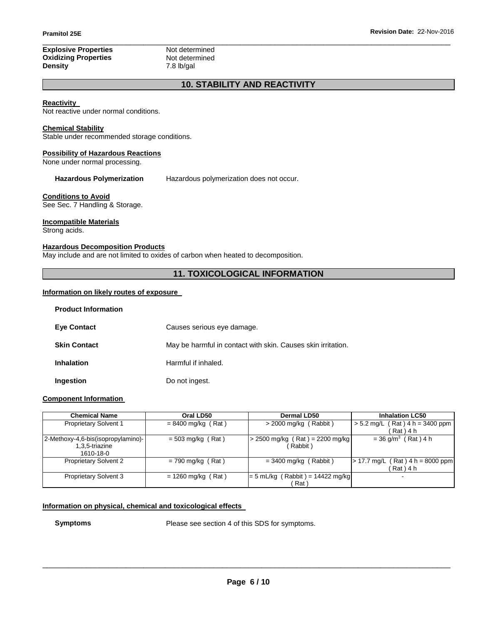### \_\_\_\_\_\_\_\_\_\_\_\_\_\_\_\_\_\_\_\_\_\_\_\_\_\_\_\_\_\_\_\_\_\_\_\_\_\_\_\_\_\_\_\_\_\_\_\_\_\_\_\_\_\_\_\_\_\_\_\_\_\_\_\_\_\_\_\_\_\_\_\_\_\_\_\_\_\_\_\_\_\_\_\_\_\_\_\_\_\_\_\_\_ **Explosive Properties**<br> **Oxidizing Properties**<br> **Not determined Oxidizing Properties Density** 7.8 lb/gal

# **10. STABILITY AND REACTIVITY**

# **Reactivity**

Not reactive under normal conditions.

## **Chemical Stability**

Stable under recommended storage conditions.

### **Possibility of Hazardous Reactions**

None under normal processing.

**Hazardous Polymerization** Hazardous polymerization does not occur.

### **Conditions to Avoid**

See Sec. 7 Handling & Storage.

# **Incompatible Materials**

Strong acids.

### **Hazardous Decomposition Products**

May include and are not limited to oxides of carbon when heated to decomposition.

# **11. TOXICOLOGICAL INFORMATION**

### **Information on likely routes of exposure**

| <b>Product Information</b> |                                                              |
|----------------------------|--------------------------------------------------------------|
| <b>Eye Contact</b>         | Causes serious eye damage.                                   |
| <b>Skin Contact</b>        | May be harmful in contact with skin. Causes skin irritation. |
| <b>Inhalation</b>          | Harmful if inhaled.                                          |
| Ingestion                  | Do not ingest.                                               |

## **Component Information**

| <b>Chemical Name</b>               | Oral LD50            | Dermal LD50                        | <b>Inhalation LC50</b>                  |
|------------------------------------|----------------------|------------------------------------|-----------------------------------------|
| <b>Proprietary Solvent 1</b>       | $= 8400$ mg/kg (Rat) | $>$ 2000 mg/kg (Rabbit)            | $(Rat)$ 4 h = 3400 ppm<br>$> 5.2$ mg/L  |
|                                    |                      |                                    | Rat ) 4 h                               |
| 2-Methoxy-4,6-bis(isopropylamino)- | $= 503$ mg/kg (Rat)  | $> 2500$ mg/kg (Rat) = 2200 mg/kg  | $= 36$ g/m <sup>3</sup> (Rat) 4 h       |
| 1,3,5-triazine                     |                      | (Rabbit)                           |                                         |
| 1610-18-0                          |                      |                                    |                                         |
| <b>Proprietary Solvent 2</b>       | $= 790$ mg/kg (Rat)  | $=$ 3400 mg/kg (Rabbit)            | Rat $4 h = 8000$ ppm<br>$> 17.7$ mg/L ( |
|                                    |                      |                                    | Rat ) 4 h                               |
| <b>Proprietary Solvent 3</b>       | $= 1260$ mg/kg (Rat) | $= 5$ mL/kg (Rabbit) = 14422 mg/kg | $\overline{\phantom{0}}$                |
|                                    |                      | Rat                                |                                         |

# **Information on physical, chemical and toxicological effects**

**Symptoms** Please see section 4 of this SDS for symptoms.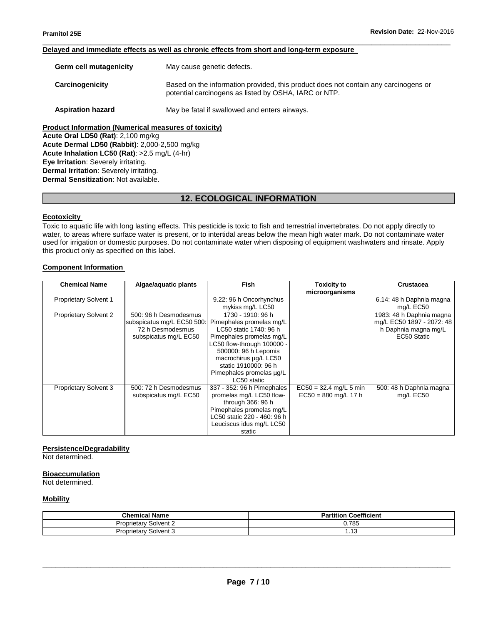#### \_\_\_\_\_\_\_\_\_\_\_\_\_\_\_\_\_\_\_\_\_\_\_\_\_\_\_\_\_\_\_\_\_\_\_\_\_\_\_\_\_\_\_\_\_\_\_\_\_\_\_\_\_\_\_\_\_\_\_\_\_\_\_\_\_\_\_\_\_\_\_\_\_\_\_\_\_\_\_\_\_\_\_\_\_\_\_\_\_\_\_\_\_ **Delayed and immediate effects as well as chronic effects from short and long-term exposure**

| Germ cell mutagenicity                                      | May cause genetic defects.                                                                                                                   |  |  |  |
|-------------------------------------------------------------|----------------------------------------------------------------------------------------------------------------------------------------------|--|--|--|
| Carcinogenicity                                             | Based on the information provided, this product does not contain any carcinogens or<br>potential carcinogens as listed by OSHA, IARC or NTP. |  |  |  |
| <b>Aspiration hazard</b>                                    | May be fatal if swallowed and enters airways.                                                                                                |  |  |  |
| <b>Product Information (Numerical measures of toxicity)</b> |                                                                                                                                              |  |  |  |

**Acute Oral LD50 (Rat)**: 2,100 mg/kg **Acute Dermal LD50 (Rabbit)**: 2,000-2,500 mg/kg **Acute Inhalation LC50 (Rat)**: >2.5 mg/L (4-hr) **Eye Irritation**: Severely irritating. **Dermal Irritation**: Severely irritating. **Dermal Sensitization**: Not available.

# **12. ECOLOGICAL INFORMATION**

# **Ecotoxicity**

Toxic to aquatic life with long lasting effects. This pesticide is toxic to fish and terrestrial invertebrates. Do not apply directly to water, to areas where surface water is present, or to intertidal areas below the mean high water mark. Do not contaminate water used for irrigation or domestic purposes. Do not contaminate water when disposing of equipment washwaters and rinsate. Apply this product only as specified on this label.

#### **Component Information**

| <b>Chemical Name</b>         | Algae/aquatic plants       | <b>Fish</b>                 | <b>Toxicity to</b>       | <b>Crustacea</b>          |
|------------------------------|----------------------------|-----------------------------|--------------------------|---------------------------|
|                              |                            |                             | microorganisms           |                           |
| <b>Proprietary Solvent 1</b> |                            | 9.22: 96 h Oncorhynchus     |                          | 6.14: 48 h Daphnia magna  |
|                              |                            | mykiss mg/L LC50            |                          | mg/L EC50                 |
| <b>Proprietary Solvent 2</b> | 500: 96 h Desmodesmus      | 1730 - 1910: 96 h           |                          | 1983: 48 h Daphnia magna  |
|                              | subspicatus mg/L EC50 500: | Pimephales promelas mg/L    |                          | mg/L EC50 1897 - 2072: 48 |
|                              | 72 h Desmodesmus           | LC50 static 1740: 96 h      |                          | h Daphnia magna mg/L      |
|                              | subspicatus mg/L EC50      | Pimephales promelas mg/L    |                          | EC50 Static               |
|                              |                            | LC50 flow-through 100000 -  |                          |                           |
|                              |                            | 500000: 96 h Lepomis        |                          |                           |
|                              |                            | macrochirus ug/L LC50       |                          |                           |
|                              |                            | static 1910000: 96 h        |                          |                           |
|                              |                            | Pimephales promelas µg/L    |                          |                           |
|                              |                            | LC50 static                 |                          |                           |
| Proprietary Solvent 3        | 500: 72 h Desmodesmus      | 337 - 352: 96 h Pimephales  | $EC50 = 32.4$ mg/L 5 min | 500: 48 h Daphnia magna   |
|                              | subspicatus mg/L EC50      | promelas mg/L LC50 flow-    | $EC50 = 880$ mg/L 17 h   | mg/L EC50                 |
|                              |                            | through 366: 96 h           |                          |                           |
|                              |                            | Pimephales promelas mg/L    |                          |                           |
|                              |                            | LC50 static 220 - 460: 96 h |                          |                           |
|                              |                            | Leuciscus idus mg/L LC50    |                          |                           |
|                              |                            | static                      |                          |                           |

# **Persistence/Degradability**

Not determined.

#### **Bioaccumulation**

Not determined.

#### **Mobility**

| <b>Chemical Name</b>               | <b>Coefficient</b><br>в.<br>tition<br>$\mathbf{a}$ |
|------------------------------------|----------------------------------------------------|
| Solvent 2<br>$1 - 1$<br>'roprietai | 0.785                                              |
| Solvent 3<br>Proprietary           | د ۱۰                                               |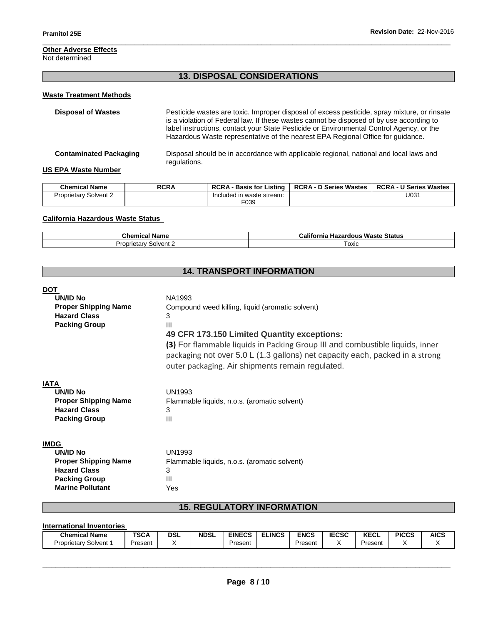# **Other Adverse Effects**

Not determined

# **13. DISPOSAL CONSIDERATIONS**

\_\_\_\_\_\_\_\_\_\_\_\_\_\_\_\_\_\_\_\_\_\_\_\_\_\_\_\_\_\_\_\_\_\_\_\_\_\_\_\_\_\_\_\_\_\_\_\_\_\_\_\_\_\_\_\_\_\_\_\_\_\_\_\_\_\_\_\_\_\_\_\_\_\_\_\_\_\_\_\_\_\_\_\_\_\_\_\_\_\_\_\_\_

# **Waste Treatment Methods**

| <b>Disposal of Wastes</b>     | Pesticide wastes are toxic. Improper disposal of excess pesticide, spray mixture, or rinsate<br>is a violation of Federal law. If these wastes cannot be disposed of by use according to<br>label instructions, contact your State Pesticide or Environmental Control Agency, or the<br>Hazardous Waste representative of the nearest EPA Regional Office for guidance. |
|-------------------------------|-------------------------------------------------------------------------------------------------------------------------------------------------------------------------------------------------------------------------------------------------------------------------------------------------------------------------------------------------------------------------|
| <b>Contaminated Packaging</b> | Disposal should be in accordance with applicable regional, national and local laws and<br>regulations.                                                                                                                                                                                                                                                                  |
| <b>US EPA Waste Number</b>    |                                                                                                                                                                                                                                                                                                                                                                         |

| <b>Chemical Name</b>         | RCRA | <b>RCRA - Basis for Listing  </b> | RCRA - D Series Wastes   RCRA - U Series Wastes |      |
|------------------------------|------|-----------------------------------|-------------------------------------------------|------|
| <b>Proprietary Solvent 2</b> |      | Included in waste stream:         |                                                 | U031 |
|                              |      | F039                              |                                                 |      |

# **California Hazardous Waste Status**

| <b>Chemical Name</b>     | <b>Hazardous Waste</b><br>California<br>: Status |  |  |
|--------------------------|--------------------------------------------------|--|--|
| Solvent 2<br>Proprietary | ⊤охіс                                            |  |  |

# **14. TRANSPORT INFORMATION**

| DOT                         |                                                                                                                                                                                                                   |
|-----------------------------|-------------------------------------------------------------------------------------------------------------------------------------------------------------------------------------------------------------------|
| <b>UN/ID No</b>             | NA1993                                                                                                                                                                                                            |
| <b>Proper Shipping Name</b> | Compound weed killing, liquid (aromatic solvent)                                                                                                                                                                  |
| <b>Hazard Class</b>         | 3                                                                                                                                                                                                                 |
| <b>Packing Group</b>        | Ш                                                                                                                                                                                                                 |
|                             | 49 CFR 173.150 Limited Quantity exceptions:                                                                                                                                                                       |
|                             | (3) For flammable liquids in Packing Group III and combustible liquids, inner<br>packaging not over 5.0 L (1.3 gallons) net capacity each, packed in a strong<br>outer packaging. Air shipments remain regulated. |
| IATA                        |                                                                                                                                                                                                                   |
| <b>UN/ID No</b>             | <b>UN1993</b>                                                                                                                                                                                                     |
| <b>Proper Shipping Name</b> | Flammable liquids, n.o.s. (aromatic solvent)                                                                                                                                                                      |
| <b>Hazard Class</b>         | 3                                                                                                                                                                                                                 |
| <b>Packing Group</b>        | Ш                                                                                                                                                                                                                 |
| IMDG                        |                                                                                                                                                                                                                   |
| <b>UN/ID No</b>             | <b>UN1993</b>                                                                                                                                                                                                     |
| <b>Proper Shipping Name</b> | Flammable liquids, n.o.s. (aromatic solvent)                                                                                                                                                                      |
| <b>Hazard Class</b>         | 3                                                                                                                                                                                                                 |
| <b>Packing Group</b>        | $\mathbf{III}$                                                                                                                                                                                                    |
| <b>Marine Pollutant</b>     | Yes                                                                                                                                                                                                               |

# **15. REGULATORY INFORMATION**

# **International Inventories**

| <b>Chemical Name</b>   | <b>TSCA</b> | DSL | <b>NDSL</b> | <b>EINECS</b> | <b>ELINCS</b> | ENCS    | <b>IECSC</b> | <b>VECI</b><br>ncul | <b>PICCS</b> | <b>AICS</b> |
|------------------------|-------------|-----|-------------|---------------|---------------|---------|--------------|---------------------|--------------|-------------|
| Solvent<br>Proprietary | Present     |     |             | Present       |               | Present |              | Present             |              |             |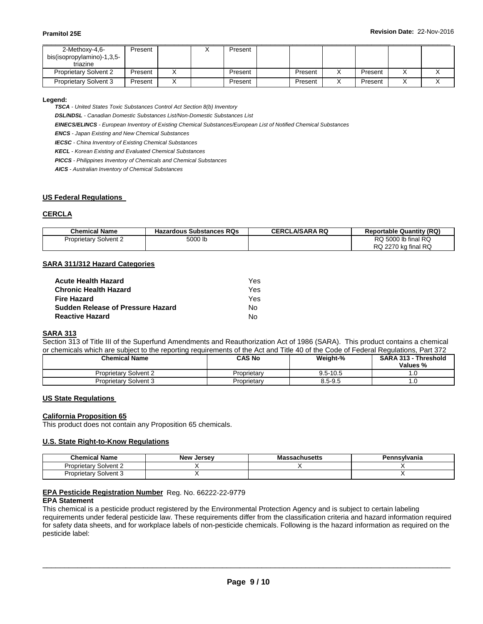| 2-Methoxy-4,6-               | Present |  | Present |         |         |  |
|------------------------------|---------|--|---------|---------|---------|--|
| bis(isopropylamino)-1,3,5-   |         |  |         |         |         |  |
| triazine                     |         |  |         |         |         |  |
| <b>Proprietary Solvent 2</b> | Present |  | Present | Present | Present |  |
| <b>Proprietary Solvent 3</b> | Present |  | Present | Present | Present |  |

#### **Legend:**

*TSCA - United States Toxic Substances Control Act Section 8(b) Inventory* 

*DSL/NDSL - Canadian Domestic Substances List/Non-Domestic Substances List* 

*EINECS/ELINCS - European Inventory of Existing Chemical Substances/European List of Notified Chemical Substances* 

*ENCS - Japan Existing and New Chemical Substances* 

*IECSC - China Inventory of Existing Chemical Substances* 

*KECL - Korean Existing and Evaluated Chemical Substances* 

*PICCS - Philippines Inventory of Chemicals and Chemical Substances* 

*AICS - Australian Inventory of Chemical Substances* 

# **US Federal Regulations**

## **CERCLA**

| <b>Chemical Name</b>         | <b>Hazardous Substances RQs</b> | <b>CERCLA/SARA RQ</b> | <b>Reportable Quantity (RQ)</b> |
|------------------------------|---------------------------------|-----------------------|---------------------------------|
| <b>Proprietary Solvent 2</b> | 5000 lb                         |                       | RQ 5000 lb final RQ             |
|                              |                                 |                       | RQ 2270 kg final RQ             |

## **SARA 311/312 Hazard Categories**

| <b>Acute Health Hazard</b>        | Yes. |
|-----------------------------------|------|
| <b>Chronic Health Hazard</b>      | Yes. |
| <b>Fire Hazard</b>                | Yes. |
| Sudden Release of Pressure Hazard | No.  |
| <b>Reactive Hazard</b>            | N٥   |

## **SARA 313**

Section 313 of Title III of the Superfund Amendments and Reauthorization Act of 1986 (SARA). This product contains a chemical or chemicals which are subject to the reporting requirements of the Act and Title 40 of the Code of Federal Regulations, Part 372

| <b>Chemical Name</b>         | CAS No      | Weight-%     | SARA 313 - Threshold<br>Values % |
|------------------------------|-------------|--------------|----------------------------------|
| <b>Proprietary Solvent 2</b> | Proprietary | $9.5 - 10.5$ | I.U                              |
| Proprietary Solvent 3        | Proprietary | $8.5 - 9.5$  | . . U                            |

# **US State Regulations**

#### **California Proposition 65**

This product does not contain any Proposition 65 chemicals.

# **U.S. State Right-to-Know Regulations**

| <b>Chemical Name</b>         | <b>New Jersey</b> | <b>Massachusetts</b> | Pennsvlvania |
|------------------------------|-------------------|----------------------|--------------|
| v Solvent 2<br>Proprietary   |                   |                      |              |
| <b>Proprietary Solvent 3</b> |                   |                      |              |

## **EPA Pesticide Registration Number** Reg. No. 66222-22-9779

## **EPA Statement**

This chemical is a pesticide product registered by the Environmental Protection Agency and is subject to certain labeling requirements under federal pesticide law. These requirements differ from the classification criteria and hazard information required for safety data sheets, and for workplace labels of non-pesticide chemicals. Following is the hazard information as required on the pesticide label: